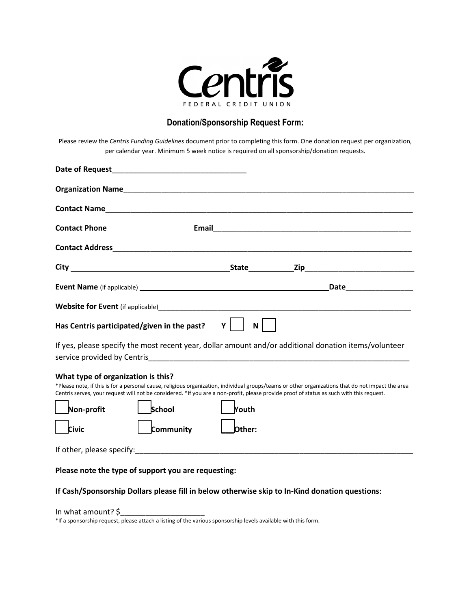

## **Donation/Sponsorship Request Form:**

Please review the *Centris Funding Guidelines* document prior to completing this form. One donation request per organization, per calendar year. Minimum 5 week notice is required on all sponsorship/donation requests.

| Has Centris participated/given in the past?                                      | $\gamma$    <br>$N$                                                                                                                                                                                                                                                                                              |  |
|----------------------------------------------------------------------------------|------------------------------------------------------------------------------------------------------------------------------------------------------------------------------------------------------------------------------------------------------------------------------------------------------------------|--|
|                                                                                  | If yes, please specify the most recent year, dollar amount and/or additional donation items/volunteer<br>service provided by Centris entertainment and the control of the control of the control of the control of the                                                                                           |  |
| What type of organization is this?<br>School<br>Non-profit<br>community<br>Civic | *Please note, if this is for a personal cause, religious organization, individual groups/teams or other organizations that do not impact the area<br>Centris serves, your request will not be considered. *If you are a non-profit, please provide proof of status as such with this request.<br>Youth<br>Other: |  |
|                                                                                  |                                                                                                                                                                                                                                                                                                                  |  |
| Please note the type of support you are requesting:                              |                                                                                                                                                                                                                                                                                                                  |  |
|                                                                                  | If Cash/Sponsorship Dollars please fill in below otherwise skip to In-Kind donation questions:                                                                                                                                                                                                                   |  |

In what amount?  $\zeta$ 

\*If a sponsorship request, please attach a listing of the various sponsorship levels available with this form.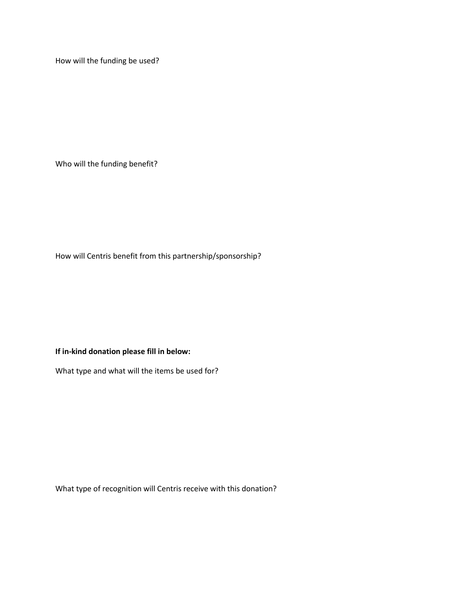How will the funding be used?

Who will the funding benefit?

How will Centris benefit from this partnership/sponsorship?

**If in-kind donation please fill in below:**

What type and what will the items be used for?

What type of recognition will Centris receive with this donation?